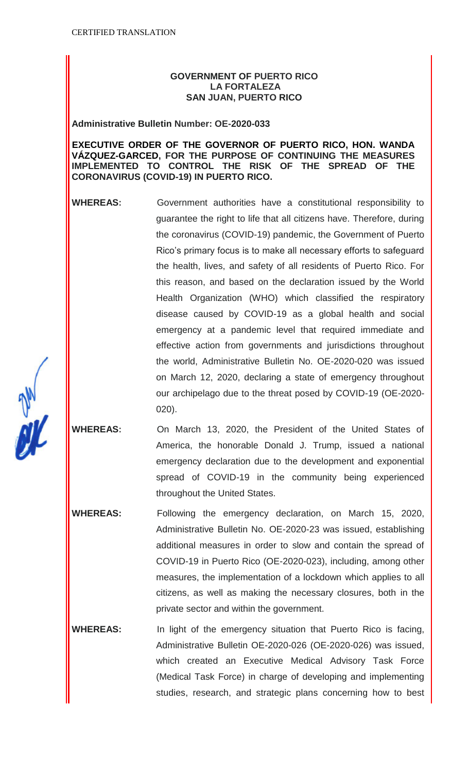## **GOVERNMENT OF PUERTO RICO LA FORTALEZA SAN JUAN, PUERTO RICO**

**Administrative Bulletin Number: OE-2020-033**

### **EXECUTIVE ORDER OF THE GOVERNOR OF PUERTO RICO, HON. WANDA VÁZQUEZ-GARCED, FOR THE PURPOSE OF CONTINUING THE MEASURES IMPLEMENTED TO CONTROL THE RISK OF THE SPREAD OF THE CORONAVIRUS (COVID-19) IN PUERTO RICO.**

- **WHEREAS:** Government authorities have a constitutional responsibility to guarantee the right to life that all citizens have. Therefore, during the coronavirus (COVID-19) pandemic, the Government of Puerto Rico's primary focus is to make all necessary efforts to safeguard the health, lives, and safety of all residents of Puerto Rico. For this reason, and based on the declaration issued by the World Health Organization (WHO) which classified the respiratory disease caused by COVID-19 as a global health and social emergency at a pandemic level that required immediate and effective action from governments and jurisdictions throughout the world, Administrative Bulletin No. OE-2020-020 was issued on March 12, 2020, declaring a state of emergency throughout our archipelago due to the threat posed by COVID-19 (OE-2020- 020).
- **WHEREAS:** On March 13, 2020, the President of the United States of America, the honorable Donald J. Trump, issued a national emergency declaration due to the development and exponential spread of COVID-19 in the community being experienced throughout the United States.
	- **WHEREAS:** Following the emergency declaration, on March 15, 2020, Administrative Bulletin No. OE-2020-23 was issued, establishing additional measures in order to slow and contain the spread of COVID-19 in Puerto Rico (OE-2020-023), including, among other measures, the implementation of a lockdown which applies to all citizens, as well as making the necessary closures, both in the private sector and within the government.
- **WHEREAS:** In light of the emergency situation that Puerto Rico is facing, Administrative Bulletin OE-2020-026 (OE-2020-026) was issued, which created an Executive Medical Advisory Task Force (Medical Task Force) in charge of developing and implementing studies, research, and strategic plans concerning how to best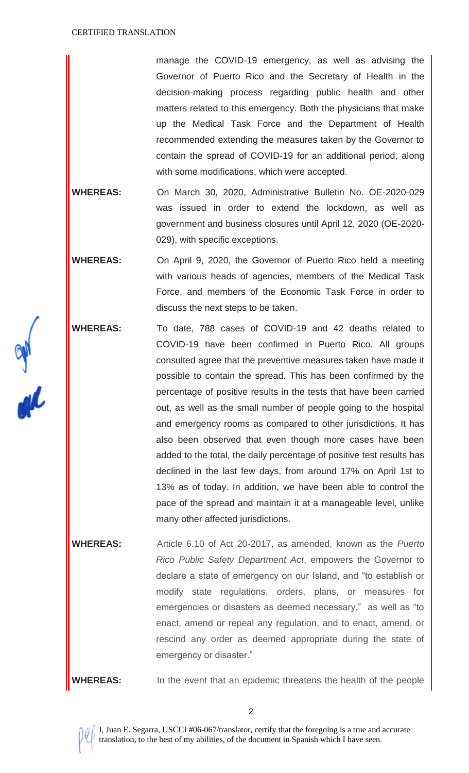manage the COVID-19 emergency, as well as advising the Governor of Puerto Rico and the Secretary of Health in the decision-making process regarding public health and other matters related to this emergency. Both the physicians that make up the Medical Task Force and the Department of Health recommended extending the measures taken by the Governor to contain the spread of COVID-19 for an additional period, along with some modifications, which were accepted.

**WHEREAS:** On March 30, 2020, Administrative Bulletin No. OE-2020-029 was issued in order to extend the lockdown, as well as government and business closures until April 12, 2020 (OE-2020- 029), with specific exceptions.

**WHEREAS:** On April 9, 2020, the Governor of Puerto Rico held a meeting with various heads of agencies, members of the Medical Task Force, and members of the Economic Task Force in order to discuss the next steps to be taken.

**WHEREAS:** To date, 788 cases of COVID-19 and 42 deaths related to COVID-19 have been confirmed in Puerto Rico. All groups consulted agree that the preventive measures taken have made it possible to contain the spread. This has been confirmed by the percentage of positive results in the tests that have been carried out, as well as the small number of people going to the hospital and emergency rooms as compared to other jurisdictions. It has also been observed that even though more cases have been added to the total, the daily percentage of positive test results has declined in the last few days, from around 17% on April 1st to 13% as of today. In addition, we have been able to control the pace of the spread and maintain it at a manageable level, unlike many other affected jurisdictions.

**WHEREAS:** Article 6.10 of Act 20-2017, as amended, known as the *Puerto Rico Public Safety Department Act*, empowers the Governor to declare a state of emergency on our Island, and "to establish or modify state regulations, orders, plans, or measures for emergencies or disasters as deemed necessary," as well as "to enact, amend or repeal any regulation, and to enact, amend, or rescind any order as deemed appropriate during the state of emergency or disaster."

**WHEREAS:** In the event that an epidemic threatens the health of the people

2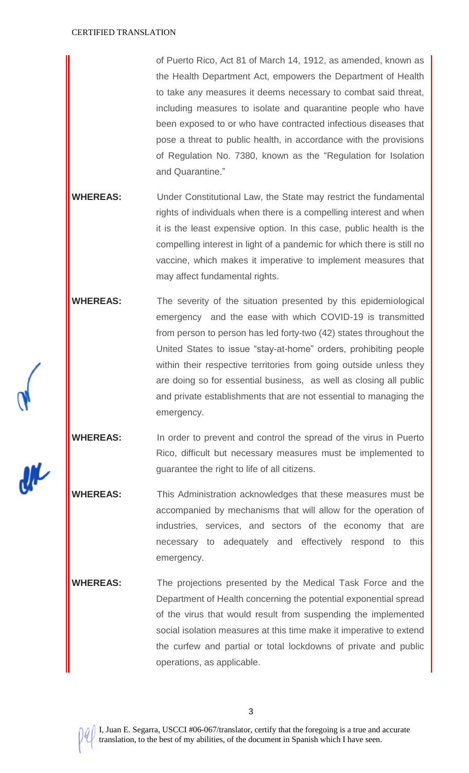of Puerto Rico, Act 81 of March 14, 1912, as amended, known as the Health Department Act, empowers the Department of Health to take any measures it deems necessary to combat said threat, including measures to isolate and quarantine people who have been exposed to or who have contracted infectious diseases that pose a threat to public health, in accordance with the provisions of Regulation No. 7380, known as the "Regulation for Isolation and Quarantine."

- **WHEREAS:** Under Constitutional Law, the State may restrict the fundamental rights of individuals when there is a compelling interest and when it is the least expensive option. In this case, public health is the compelling interest in light of a pandemic for which there is still no vaccine, which makes it imperative to implement measures that may affect fundamental rights.
- **WHEREAS:** The severity of the situation presented by this epidemiological emergency and the ease with which COVID-19 is transmitted from person to person has led forty-two (42) states throughout the United States to issue "stay-at-home" orders, prohibiting people within their respective territories from going outside unless they are doing so for essential business, as well as closing all public and private establishments that are not essential to managing the emergency.

**WHEREAS:** In order to prevent and control the spread of the virus in Puerto Rico, difficult but necessary measures must be implemented to guarantee the right to life of all citizens.

**WHEREAS:** This Administration acknowledges that these measures must be accompanied by mechanisms that will allow for the operation of industries, services, and sectors of the economy that are necessary to adequately and effectively respond to this emergency.

**WHEREAS:** The projections presented by the Medical Task Force and the Department of Health concerning the potential exponential spread of the virus that would result from suspending the implemented social isolation measures at this time make it imperative to extend the curfew and partial or total lockdowns of private and public operations, as applicable.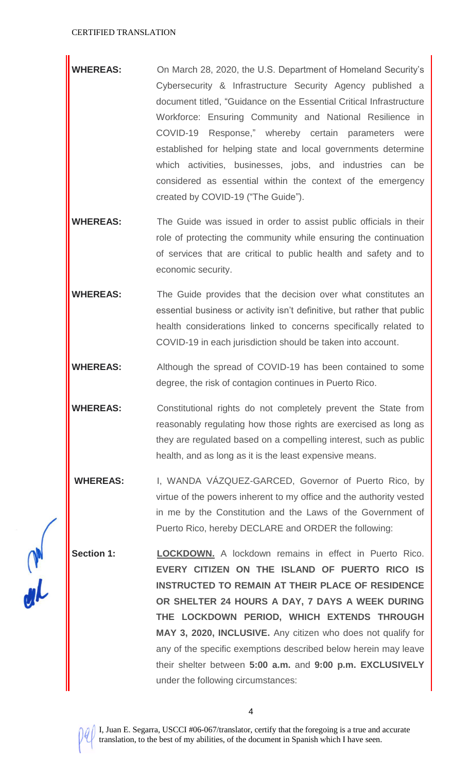- **WHEREAS:** On March 28, 2020, the U.S. Department of Homeland Security's Cybersecurity & Infrastructure Security Agency published a document titled, "Guidance on the Essential Critical Infrastructure Workforce: Ensuring Community and National Resilience in COVID-19 Response," whereby certain parameters were established for helping state and local governments determine which activities, businesses, jobs, and industries can be considered as essential within the context of the emergency created by COVID-19 ("The Guide").
- **WHEREAS:** The Guide was issued in order to assist public officials in their role of protecting the community while ensuring the continuation of services that are critical to public health and safety and to economic security.
- **WHEREAS:** The Guide provides that the decision over what constitutes an essential business or activity isn't definitive, but rather that public health considerations linked to concerns specifically related to COVID-19 in each jurisdiction should be taken into account.
- **WHEREAS:** Although the spread of COVID-19 has been contained to some degree, the risk of contagion continues in Puerto Rico.
- **WHEREAS:** Constitutional rights do not completely prevent the State from reasonably regulating how those rights are exercised as long as they are regulated based on a compelling interest, such as public health, and as long as it is the least expensive means.
- **WHEREAS:** I, WANDA VÁZQUEZ-GARCED, Governor of Puerto Rico, by virtue of the powers inherent to my office and the authority vested in me by the Constitution and the Laws of the Government of Puerto Rico, hereby DECLARE and ORDER the following:
- **Section 1: LOCKDOWN.** A lockdown remains in effect in Puerto Rico. **EVERY CITIZEN ON THE ISLAND OF PUERTO RICO IS INSTRUCTED TO REMAIN AT THEIR PLACE OF RESIDENCE OR SHELTER 24 HOURS A DAY, 7 DAYS A WEEK DURING THE LOCKDOWN PERIOD, WHICH EXTENDS THROUGH MAY 3, 2020, INCLUSIVE.** Any citizen who does not qualify for any of the specific exemptions described below herein may leave their shelter between **5:00 a.m.** and **9:00 p.m. EXCLUSIVELY** under the following circumstances: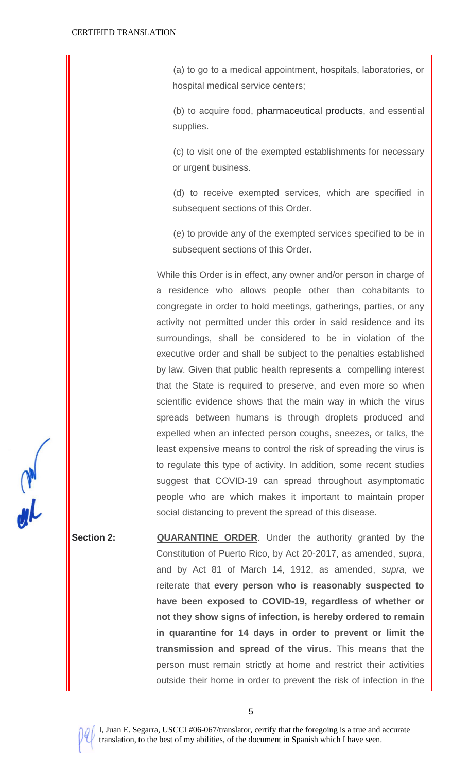(a) to go to a medical appointment, hospitals, laboratories, or hospital medical service centers;

(b) to acquire food, pharmaceutical products, and essential supplies.

(c) to visit one of the exempted establishments for necessary or urgent business.

(d) to receive exempted services, which are specified in subsequent sections of this Order.

(e) to provide any of the exempted services specified to be in subsequent sections of this Order.

While this Order is in effect, any owner and/or person in charge of a residence who allows people other than cohabitants to congregate in order to hold meetings, gatherings, parties, or any activity not permitted under this order in said residence and its surroundings, shall be considered to be in violation of the executive order and shall be subject to the penalties established by law. Given that public health represents a compelling interest that the State is required to preserve, and even more so when scientific evidence shows that the main way in which the virus spreads between humans is through droplets produced and expelled when an infected person coughs, sneezes, or talks, the least expensive means to control the risk of spreading the virus is to regulate this type of activity. In addition, some recent studies suggest that COVID-19 can spread throughout asymptomatic people who are which makes it important to maintain proper social distancing to prevent the spread of this disease.

**Section 2: <b>QUARANTINE** ORDER. Under the authority granted by the Constitution of Puerto Rico, by Act 20-2017, as amended, *supra*, and by Act 81 of March 14, 1912, as amended, *supra*, we reiterate that **every person who is reasonably suspected to have been exposed to COVID-19, regardless of whether or not they show signs of infection, is hereby ordered to remain in quarantine for 14 days in order to prevent or limit the transmission and spread of the virus**. This means that the person must remain strictly at home and restrict their activities outside their home in order to prevent the risk of infection in the

5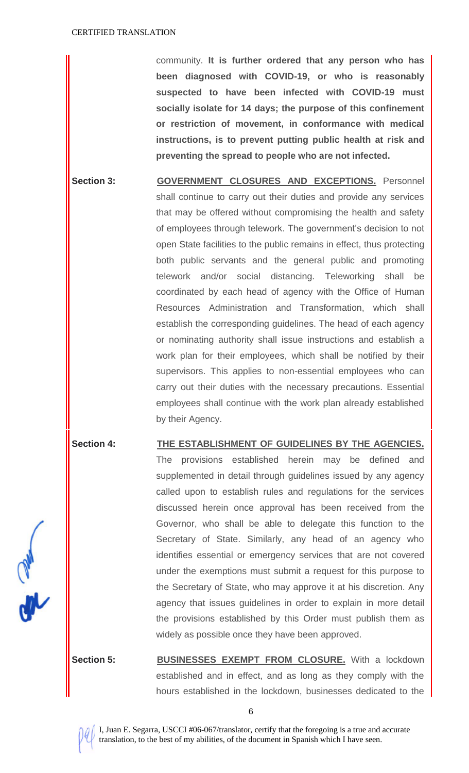community. **It is further ordered that any person who has been diagnosed with COVID-19, or who is reasonably suspected to have been infected with COVID-19 must socially isolate for 14 days; the purpose of this confinement or restriction of movement, in conformance with medical instructions, is to prevent putting public health at risk and preventing the spread to people who are not infected.**

Section 3: **GOVERNMENT CLOSURES AND EXCEPTIONS.** Personnel shall continue to carry out their duties and provide any services that may be offered without compromising the health and safety of employees through telework. The government's decision to not open State facilities to the public remains in effect, thus protecting both public servants and the general public and promoting telework and/or social distancing. Teleworking shall be coordinated by each head of agency with the Office of Human Resources Administration and Transformation, which shall establish the corresponding guidelines. The head of each agency or nominating authority shall issue instructions and establish a work plan for their employees, which shall be notified by their supervisors. This applies to non-essential employees who can carry out their duties with the necessary precautions. Essential employees shall continue with the work plan already established by their Agency.

# **Section 4: THE ESTABLISHMENT OF GUIDELINES BY THE AGENCIES.** The provisions established herein may be defined and supplemented in detail through guidelines issued by any agency called upon to establish rules and regulations for the services discussed herein once approval has been received from the Governor, who shall be able to delegate this function to the Secretary of State. Similarly, any head of an agency who identifies essential or emergency services that are not covered under the exemptions must submit a request for this purpose to the Secretary of State, who may approve it at his discretion. Any agency that issues guidelines in order to explain in more detail the provisions established by this Order must publish them as widely as possible once they have been approved.

**Section 5: BUSINESSES EXEMPT FROM CLOSURE.** With a lockdown established and in effect, and as long as they comply with the hours established in the lockdown, businesses dedicated to the



6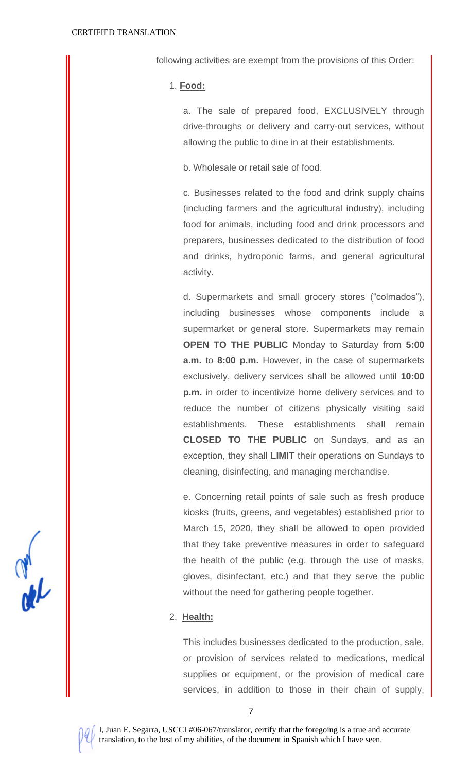following activities are exempt from the provisions of this Order:

1. **Food:**

a. The sale of prepared food, EXCLUSIVELY through drive-throughs or delivery and carry-out services, without allowing the public to dine in at their establishments.

b. Wholesale or retail sale of food.

c. Businesses related to the food and drink supply chains (including farmers and the agricultural industry), including food for animals, including food and drink processors and preparers, businesses dedicated to the distribution of food and drinks, hydroponic farms, and general agricultural activity.

d. Supermarkets and small grocery stores ("colmados"), including businesses whose components include a supermarket or general store. Supermarkets may remain **OPEN TO THE PUBLIC** Monday to Saturday from **5:00 a.m.** to **8:00 p.m.** However, in the case of supermarkets exclusively, delivery services shall be allowed until **10:00 p.m.** in order to incentivize home delivery services and to reduce the number of citizens physically visiting said establishments. These establishments shall remain **CLOSED TO THE PUBLIC** on Sundays, and as an exception, they shall **LIMIT** their operations on Sundays to cleaning, disinfecting, and managing merchandise.

e. Concerning retail points of sale such as fresh produce kiosks (fruits, greens, and vegetables) established prior to March 15, 2020, they shall be allowed to open provided that they take preventive measures in order to safeguard the health of the public (e.g. through the use of masks, gloves, disinfectant, etc.) and that they serve the public without the need for gathering people together.

#### 2. **Health:**

This includes businesses dedicated to the production, sale, or provision of services related to medications, medical supplies or equipment, or the provision of medical care services, in addition to those in their chain of supply,



7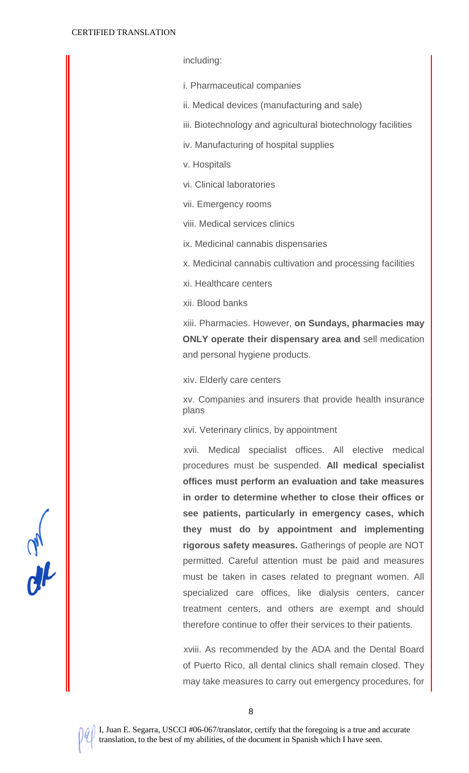including:

i. Pharmaceutical companies

ii. Medical devices (manufacturing and sale)

iii. Biotechnology and agricultural biotechnology facilities

iv. Manufacturing of hospital supplies

v. Hospitals

vi. Clinical laboratories

vii. Emergency rooms

viii. Medical services clinics

ix. Medicinal cannabis dispensaries

x. Medicinal cannabis cultivation and processing facilities

xi. Healthcare centers

xii. Blood banks

xiii. Pharmacies. However, **on Sundays, pharmacies may ONLY operate their dispensary area and** sell medication and personal hygiene products.

xiv. Elderly care centers

xv. Companies and insurers that provide health insurance plans

xvi. Veterinary clinics, by appointment

xvii. Medical specialist offices. All elective medical procedures must be suspended. **All medical specialist offices must perform an evaluation and take measures in order to determine whether to close their offices or see patients, particularly in emergency cases, which they must do by appointment and implementing rigorous safety measures.** Gatherings of people are NOT permitted. Careful attention must be paid and measures must be taken in cases related to pregnant women. All specialized care offices, like dialysis centers, cancer treatment centers, and others are exempt and should therefore continue to offer their services to their patients.

xviii. As recommended by the ADA and the Dental Board of Puerto Rico, all dental clinics shall remain closed. They may take measures to carry out emergency procedures, for

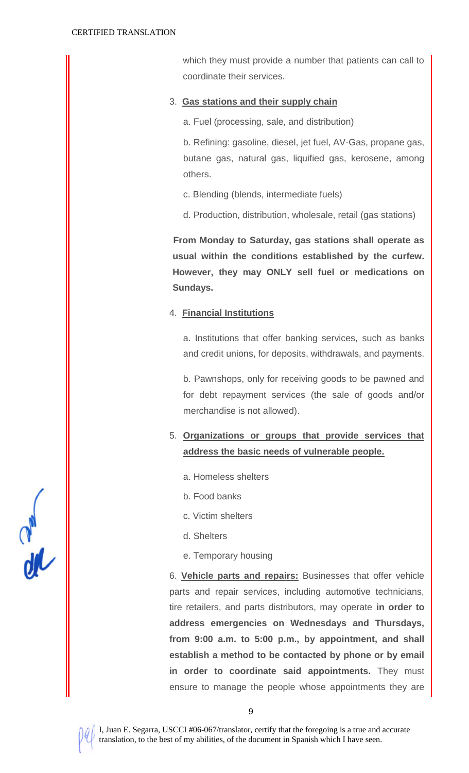which they must provide a number that patients can call to coordinate their services.

## 3. **Gas stations and their supply chain**

a. Fuel (processing, sale, and distribution)

b. Refining: gasoline, diesel, jet fuel, AV-Gas, propane gas, butane gas, natural gas, liquified gas, kerosene, among others.

- c. Blending (blends, intermediate fuels)
- d. Production, distribution, wholesale, retail (gas stations)

**From Monday to Saturday, gas stations shall operate as usual within the conditions established by the curfew. However, they may ONLY sell fuel or medications on Sundays.**

## 4. **Financial Institutions**

a. Institutions that offer banking services, such as banks and credit unions, for deposits, withdrawals, and payments.

b. Pawnshops, only for receiving goods to be pawned and for debt repayment services (the sale of goods and/or merchandise is not allowed).

- 5. **Organizations or groups that provide services that address the basic needs of vulnerable people.**
	- a. Homeless shelters
	- b. Food banks
	- c. Victim shelters
	- d. Shelters
	- e. Temporary housing

6. **Vehicle parts and repairs:** Businesses that offer vehicle parts and repair services, including automotive technicians, tire retailers, and parts distributors, may operate **in order to address emergencies on Wednesdays and Thursdays, from 9:00 a.m. to 5:00 p.m., by appointment, and shall establish a method to be contacted by phone or by email in order to coordinate said appointments.** They must ensure to manage the people whose appointments they are

 $rac{d}{d\theta}$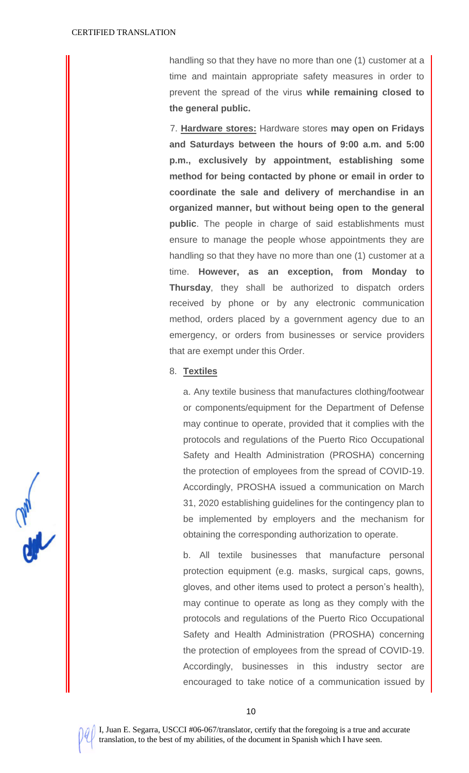handling so that they have no more than one (1) customer at a time and maintain appropriate safety measures in order to prevent the spread of the virus **while remaining closed to the general public.**

7. **Hardware stores:** Hardware stores **may open on Fridays and Saturdays between the hours of 9:00 a.m. and 5:00 p.m., exclusively by appointment, establishing some method for being contacted by phone or email in order to coordinate the sale and delivery of merchandise in an organized manner, but without being open to the general public**. The people in charge of said establishments must ensure to manage the people whose appointments they are handling so that they have no more than one (1) customer at a time. **However, as an exception, from Monday to Thursday**, they shall be authorized to dispatch orders received by phone or by any electronic communication method, orders placed by a government agency due to an emergency, or orders from businesses or service providers that are exempt under this Order.

#### 8. **Textiles**

a. Any textile business that manufactures clothing/footwear or components/equipment for the Department of Defense may continue to operate, provided that it complies with the protocols and regulations of the Puerto Rico Occupational Safety and Health Administration (PROSHA) concerning the protection of employees from the spread of COVID-19. Accordingly, PROSHA issued a communication on March 31, 2020 establishing guidelines for the contingency plan to be implemented by employers and the mechanism for obtaining the corresponding authorization to operate.

b. All textile businesses that manufacture personal protection equipment (e.g. masks, surgical caps, gowns, gloves, and other items used to protect a person's health), may continue to operate as long as they comply with the protocols and regulations of the Puerto Rico Occupational Safety and Health Administration (PROSHA) concerning the protection of employees from the spread of COVID-19. Accordingly, businesses in this industry sector are encouraged to take notice of a communication issued by



10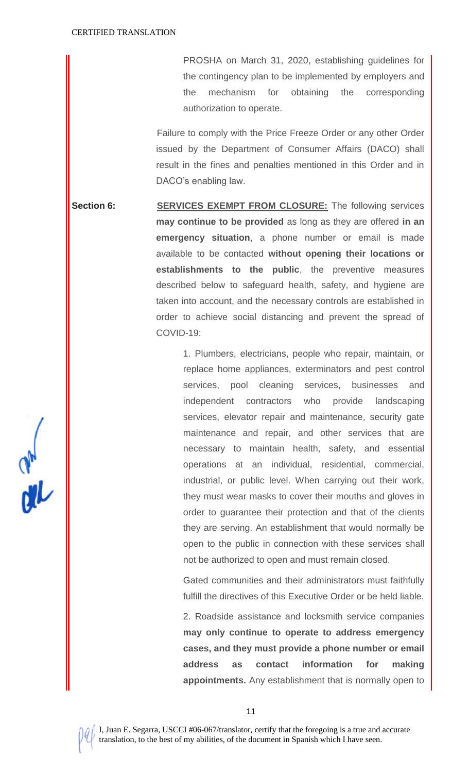PROSHA on March 31, 2020, establishing guidelines for the contingency plan to be implemented by employers and the mechanism for obtaining the corresponding authorization to operate.

Failure to comply with the Price Freeze Order or any other Order issued by the Department of Consumer Affairs (DACO) shall result in the fines and penalties mentioned in this Order and in DACO's enabling law.

**Section 6: SERVICES EXEMPT FROM CLOSURE:** The following services **may continue to be provided** as long as they are offered **in an emergency situation**, a phone number or email is made available to be contacted **without opening their locations or establishments to the public**, the preventive measures described below to safeguard health, safety, and hygiene are taken into account, and the necessary controls are established in order to achieve social distancing and prevent the spread of COVID-19:

> 1. Plumbers, electricians, people who repair, maintain, or replace home appliances, exterminators and pest control services, pool cleaning services, businesses and independent contractors who provide landscaping services, elevator repair and maintenance, security gate maintenance and repair, and other services that are necessary to maintain health, safety, and essential operations at an individual, residential, commercial, industrial, or public level. When carrying out their work, they must wear masks to cover their mouths and gloves in order to guarantee their protection and that of the clients they are serving. An establishment that would normally be open to the public in connection with these services shall not be authorized to open and must remain closed.

> Gated communities and their administrators must faithfully fulfill the directives of this Executive Order or be held liable.

> 2. Roadside assistance and locksmith service companies **may only continue to operate to address emergency cases, and they must provide a phone number or email address as contact information for making appointments.** Any establishment that is normally open to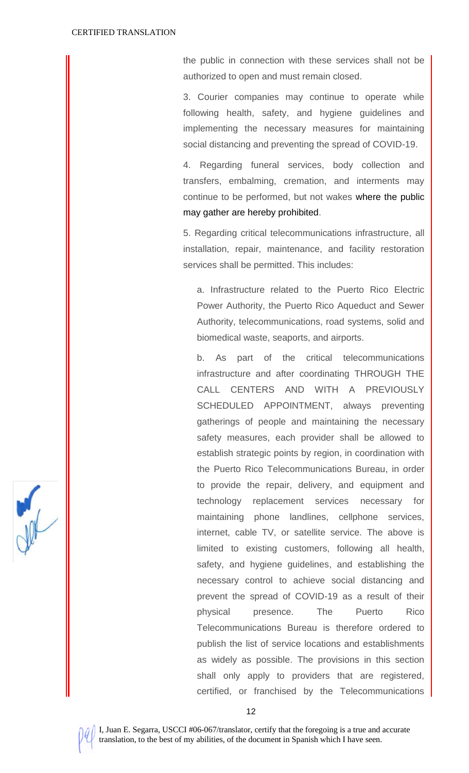the public in connection with these services shall not be authorized to open and must remain closed.

3. Courier companies may continue to operate while following health, safety, and hygiene guidelines and implementing the necessary measures for maintaining social distancing and preventing the spread of COVID-19.

4. Regarding funeral services, body collection and transfers, embalming, cremation, and interments may continue to be performed, but not wakes where the public may gather are hereby prohibited.

5. Regarding critical telecommunications infrastructure, all installation, repair, maintenance, and facility restoration services shall be permitted. This includes:

a. Infrastructure related to the Puerto Rico Electric Power Authority, the Puerto Rico Aqueduct and Sewer Authority, telecommunications, road systems, solid and biomedical waste, seaports, and airports.

b. As part of the critical telecommunications infrastructure and after coordinating THROUGH THE CALL CENTERS AND WITH A PREVIOUSLY SCHEDULED APPOINTMENT, always preventing gatherings of people and maintaining the necessary safety measures, each provider shall be allowed to establish strategic points by region, in coordination with the Puerto Rico Telecommunications Bureau, in order to provide the repair, delivery, and equipment and technology replacement services necessary for maintaining phone landlines, cellphone services, internet, cable TV, or satellite service. The above is limited to existing customers, following all health, safety, and hygiene guidelines, and establishing the necessary control to achieve social distancing and prevent the spread of COVID-19 as a result of their physical presence. The Puerto Rico Telecommunications Bureau is therefore ordered to publish the list of service locations and establishments as widely as possible. The provisions in this section shall only apply to providers that are registered, certified, or franchised by the Telecommunications



12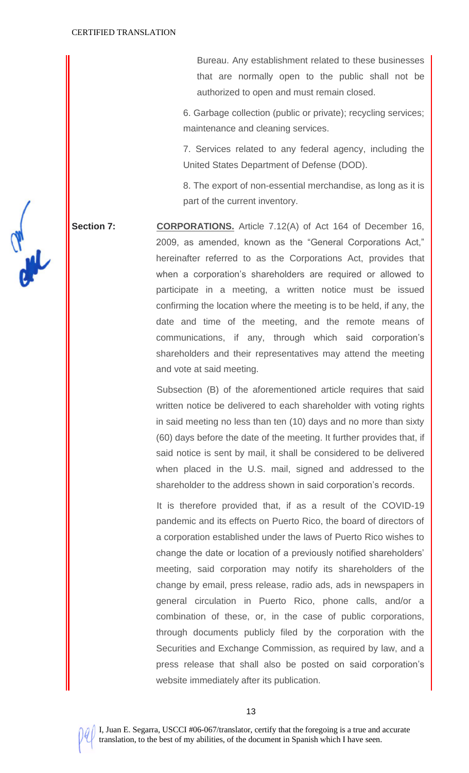Bureau. Any establishment related to these businesses that are normally open to the public shall not be authorized to open and must remain closed.

6. Garbage collection (public or private); recycling services; maintenance and cleaning services.

7. Services related to any federal agency, including the United States Department of Defense (DOD).

8. The export of non-essential merchandise, as long as it is part of the current inventory.

**Section 7: CORPORATIONS.** Article 7.12(A) of Act 164 of December 16, 2009, as amended, known as the "General Corporations Act," hereinafter referred to as the Corporations Act, provides that when a corporation's shareholders are required or allowed to participate in a meeting, a written notice must be issued confirming the location where the meeting is to be held, if any, the date and time of the meeting, and the remote means of communications, if any, through which said corporation's shareholders and their representatives may attend the meeting and vote at said meeting.

> Subsection (B) of the aforementioned article requires that said written notice be delivered to each shareholder with voting rights in said meeting no less than ten (10) days and no more than sixty (60) days before the date of the meeting. It further provides that, if said notice is sent by mail, it shall be considered to be delivered when placed in the U.S. mail, signed and addressed to the shareholder to the address shown in said corporation's records.

> It is therefore provided that, if as a result of the COVID-19 pandemic and its effects on Puerto Rico, the board of directors of a corporation established under the laws of Puerto Rico wishes to change the date or location of a previously notified shareholders' meeting, said corporation may notify its shareholders of the change by email, press release, radio ads, ads in newspapers in general circulation in Puerto Rico, phone calls, and/or a combination of these, or, in the case of public corporations, through documents publicly filed by the corporation with the Securities and Exchange Commission, as required by law, and a press release that shall also be posted on said corporation's website immediately after its publication.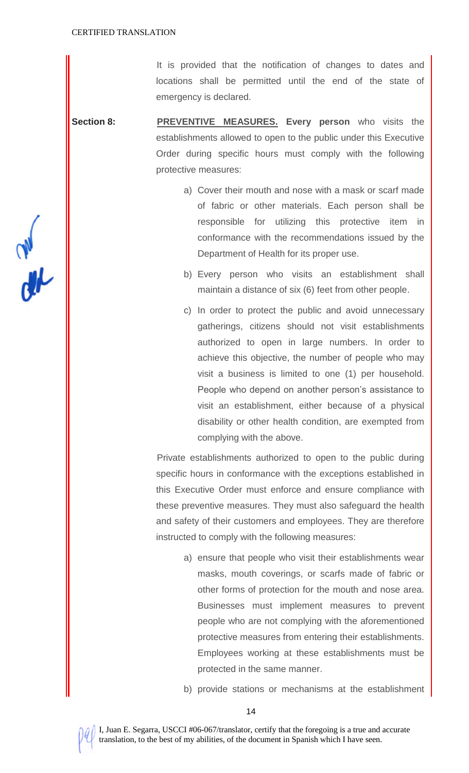It is provided that the notification of changes to dates and locations shall be permitted until the end of the state of emergency is declared.

**Section 8: PREVENTIVE MEASURES.** Every person who visits the establishments allowed to open to the public under this Executive Order during specific hours must comply with the following protective measures:

- a) Cover their mouth and nose with a mask or scarf made of fabric or other materials. Each person shall be responsible for utilizing this protective item in conformance with the recommendations issued by the Department of Health for its proper use.
- b) Every person who visits an establishment shall maintain a distance of six (6) feet from other people.
- c) In order to protect the public and avoid unnecessary gatherings, citizens should not visit establishments authorized to open in large numbers. In order to achieve this objective, the number of people who may visit a business is limited to one (1) per household. People who depend on another person's assistance to visit an establishment, either because of a physical disability or other health condition, are exempted from complying with the above.

Private establishments authorized to open to the public during specific hours in conformance with the exceptions established in this Executive Order must enforce and ensure compliance with these preventive measures. They must also safeguard the health and safety of their customers and employees. They are therefore instructed to comply with the following measures:

- a) ensure that people who visit their establishments wear masks, mouth coverings, or scarfs made of fabric or other forms of protection for the mouth and nose area. Businesses must implement measures to prevent people who are not complying with the aforementioned protective measures from entering their establishments. Employees working at these establishments must be protected in the same manner.
- b) provide stations or mechanisms at the establishment

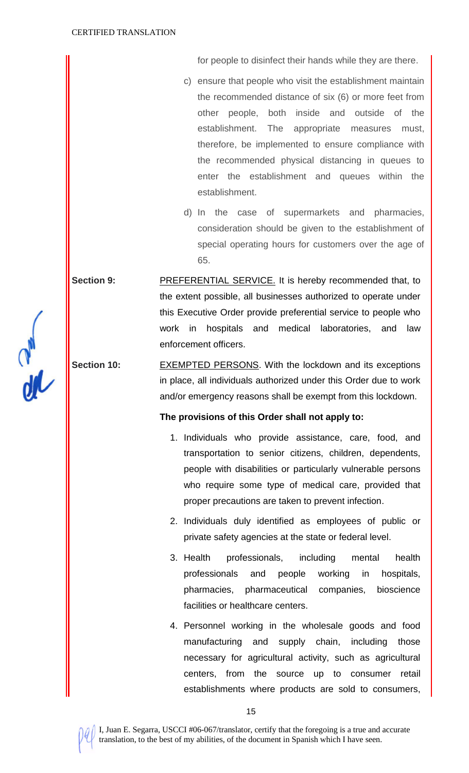for people to disinfect their hands while they are there.

- c) ensure that people who visit the establishment maintain the recommended distance of six (6) or more feet from other people, both inside and outside of the establishment. The appropriate measures must, therefore, be implemented to ensure compliance with the recommended physical distancing in queues to enter the establishment and queues within the establishment.
- d) In the case of supermarkets and pharmacies, consideration should be given to the establishment of special operating hours for customers over the age of 65.

**Section 9:** PREFERENTIAL SERVICE. It is hereby recommended that, to the extent possible, all businesses authorized to operate under this Executive Order provide preferential service to people who work in hospitals and medical laboratories, and law enforcement officers.

**Section 10:** EXEMPTED PERSONS. With the lockdown and its exceptions in place, all individuals authorized under this Order due to work and/or emergency reasons shall be exempt from this lockdown.

#### **The provisions of this Order shall not apply to:**

- 1. Individuals who provide assistance, care, food, and transportation to senior citizens, children, dependents, people with disabilities or particularly vulnerable persons who require some type of medical care, provided that proper precautions are taken to prevent infection.
- 2. Individuals duly identified as employees of public or private safety agencies at the state or federal level.
- 3. Health professionals, including mental health professionals and people working in hospitals, pharmacies, pharmaceutical companies, bioscience facilities or healthcare centers.
- 4. Personnel working in the wholesale goods and food manufacturing and supply chain, including those necessary for agricultural activity, such as agricultural centers, from the source up to consumer retail establishments where products are sold to consumers,

 $\frac{dV}{dt}$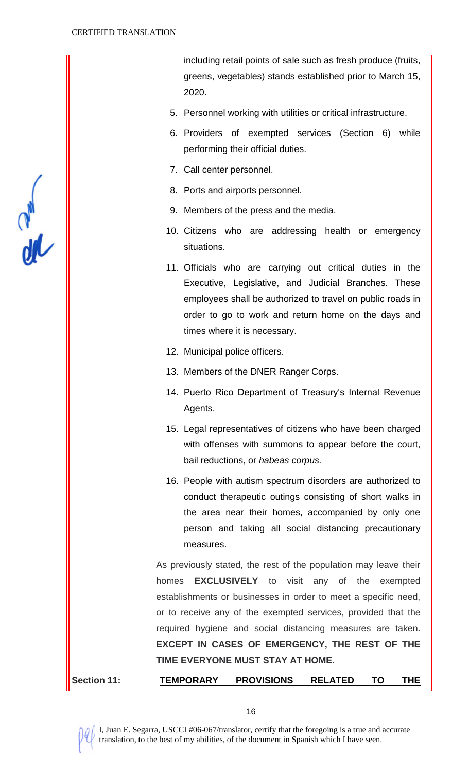$\frac{dV}{dN}$ 

including retail points of sale such as fresh produce (fruits, greens, vegetables) stands established prior to March 15, 2020.

- 5. Personnel working with utilities or critical infrastructure.
- 6. Providers of exempted services (Section 6) while performing their official duties.
- 7. Call center personnel.
- 8. Ports and airports personnel.
- 9. Members of the press and the media.
- 10. Citizens who are addressing health or emergency situations.
- 11. Officials who are carrying out critical duties in the Executive, Legislative, and Judicial Branches. These employees shall be authorized to travel on public roads in order to go to work and return home on the days and times where it is necessary.
- 12. Municipal police officers.
- 13. Members of the DNER Ranger Corps.
- 14. Puerto Rico Department of Treasury's Internal Revenue Agents.
- 15. Legal representatives of citizens who have been charged with offenses with summons to appear before the court, bail reductions, or *habeas corpus.*
- 16. People with autism spectrum disorders are authorized to conduct therapeutic outings consisting of short walks in the area near their homes, accompanied by only one person and taking all social distancing precautionary measures.

As previously stated, the rest of the population may leave their homes **EXCLUSIVELY** to visit any of the exempted establishments or businesses in order to meet a specific need, or to receive any of the exempted services, provided that the required hygiene and social distancing measures are taken. **EXCEPT IN CASES OF EMERGENCY, THE REST OF THE TIME EVERYONE MUST STAY AT HOME.** 

**Section 11: TEMPORARY PROVISIONS RELATED TO THE**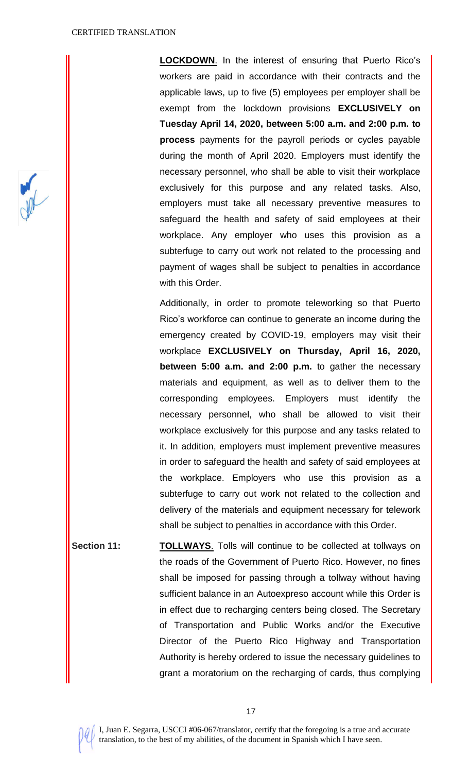**LOCKDOWN**. In the interest of ensuring that Puerto Rico's workers are paid in accordance with their contracts and the applicable laws, up to five (5) employees per employer shall be exempt from the lockdown provisions **EXCLUSIVELY on Tuesday April 14, 2020, between 5:00 a.m. and 2:00 p.m. to process** payments for the payroll periods or cycles payable during the month of April 2020. Employers must identify the necessary personnel, who shall be able to visit their workplace exclusively for this purpose and any related tasks. Also, employers must take all necessary preventive measures to safeguard the health and safety of said employees at their workplace. Any employer who uses this provision as a subterfuge to carry out work not related to the processing and payment of wages shall be subject to penalties in accordance with this Order.

Additionally, in order to promote teleworking so that Puerto Rico's workforce can continue to generate an income during the emergency created by COVID-19, employers may visit their workplace **EXCLUSIVELY on Thursday, April 16, 2020, between 5:00 a.m. and 2:00 p.m.** to gather the necessary materials and equipment, as well as to deliver them to the corresponding employees. Employers must identify the necessary personnel, who shall be allowed to visit their workplace exclusively for this purpose and any tasks related to it. In addition, employers must implement preventive measures in order to safeguard the health and safety of said employees at the workplace. Employers who use this provision as a subterfuge to carry out work not related to the collection and delivery of the materials and equipment necessary for telework shall be subject to penalties in accordance with this Order.

**Section 11: TOLLWAYS.** Tolls will continue to be collected at tollways on the roads of the Government of Puerto Rico. However, no fines shall be imposed for passing through a tollway without having sufficient balance in an Autoexpreso account while this Order is in effect due to recharging centers being closed. The Secretary of Transportation and Public Works and/or the Executive Director of the Puerto Rico Highway and Transportation Authority is hereby ordered to issue the necessary guidelines to grant a moratorium on the recharging of cards, thus complying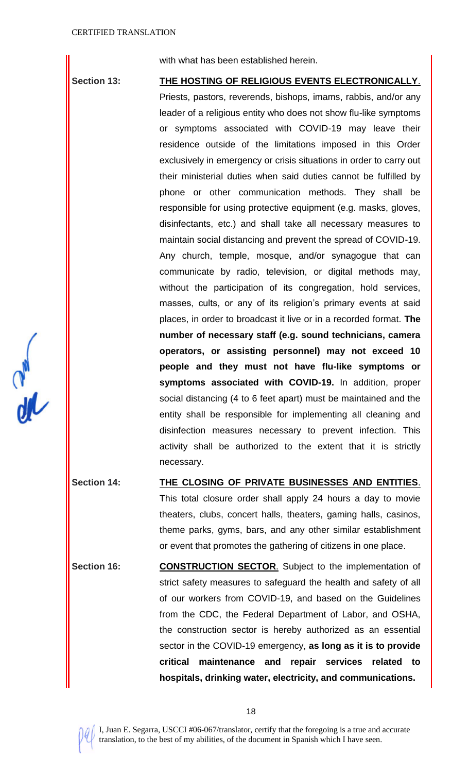$\frac{1}{2}$ 

with what has been established herein.

**Section 13: THE HOSTING OF RELIGIOUS EVENTS ELECTRONICALLY**. Priests, pastors, reverends, bishops, imams, rabbis, and/or any leader of a religious entity who does not show flu-like symptoms or symptoms associated with COVID-19 may leave their residence outside of the limitations imposed in this Order exclusively in emergency or crisis situations in order to carry out their ministerial duties when said duties cannot be fulfilled by phone or other communication methods. They shall be responsible for using protective equipment (e.g. masks, gloves, disinfectants, etc.) and shall take all necessary measures to maintain social distancing and prevent the spread of COVID-19. Any church, temple, mosque, and/or synagogue that can communicate by radio, television, or digital methods may, without the participation of its congregation, hold services, masses, cults, or any of its religion's primary events at said places, in order to broadcast it live or in a recorded format. **The number of necessary staff (e.g. sound technicians, camera operators, or assisting personnel) may not exceed 10 people and they must not have flu-like symptoms or symptoms associated with COVID-19.** In addition, proper social distancing (4 to 6 feet apart) must be maintained and the entity shall be responsible for implementing all cleaning and disinfection measures necessary to prevent infection. This activity shall be authorized to the extent that it is strictly necessary.

**Section 14: THE CLOSING OF PRIVATE BUSINESSES AND ENTITIES**. This total closure order shall apply 24 hours a day to movie theaters, clubs, concert halls, theaters, gaming halls, casinos, theme parks, gyms, bars, and any other similar establishment or event that promotes the gathering of citizens in one place.

Section 16: **CONSTRUCTION SECTOR.** Subject to the implementation of strict safety measures to safeguard the health and safety of all of our workers from COVID-19, and based on the Guidelines from the CDC, the Federal Department of Labor, and OSHA, the construction sector is hereby authorized as an essential sector in the COVID-19 emergency, **as long as it is to provide critical maintenance and repair services related to hospitals, drinking water, electricity, and communications.**

18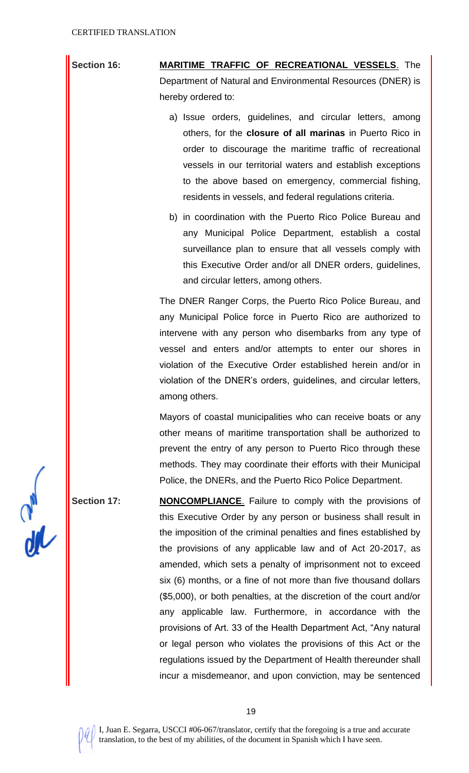**Section 16: MARITIME TRAFFIC OF RECREATIONAL VESSELS**. The Department of Natural and Environmental Resources (DNER) is hereby ordered to:

- a) Issue orders, guidelines, and circular letters, among others, for the **closure of all marinas** in Puerto Rico in order to discourage the maritime traffic of recreational vessels in our territorial waters and establish exceptions to the above based on emergency, commercial fishing, residents in vessels, and federal regulations criteria.
- b) in coordination with the Puerto Rico Police Bureau and any Municipal Police Department, establish a costal surveillance plan to ensure that all vessels comply with this Executive Order and/or all DNER orders, guidelines, and circular letters, among others.

The DNER Ranger Corps, the Puerto Rico Police Bureau, and any Municipal Police force in Puerto Rico are authorized to intervene with any person who disembarks from any type of vessel and enters and/or attempts to enter our shores in violation of the Executive Order established herein and/or in violation of the DNER's orders, guidelines, and circular letters, among others.

Mayors of coastal municipalities who can receive boats or any other means of maritime transportation shall be authorized to prevent the entry of any person to Puerto Rico through these methods. They may coordinate their efforts with their Municipal Police, the DNERs, and the Puerto Rico Police Department.

**Section 17: NONCOMPLIANCE**. Failure to comply with the provisions of this Executive Order by any person or business shall result in the imposition of the criminal penalties and fines established by the provisions of any applicable law and of Act 20-2017, as amended, which sets a penalty of imprisonment not to exceed six (6) months, or a fine of not more than five thousand dollars (\$5,000), or both penalties, at the discretion of the court and/or any applicable law. Furthermore, in accordance with the provisions of Art. 33 of the Health Department Act, "Any natural or legal person who violates the provisions of this Act or the regulations issued by the Department of Health thereunder shall incur a misdemeanor, and upon conviction, may be sentenced

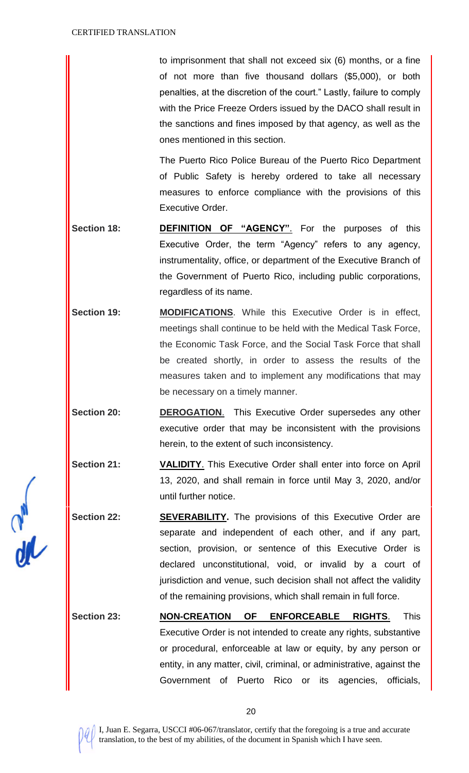to imprisonment that shall not exceed six (6) months, or a fine of not more than five thousand dollars (\$5,000), or both penalties, at the discretion of the court." Lastly, failure to comply with the Price Freeze Orders issued by the DACO shall result in the sanctions and fines imposed by that agency, as well as the ones mentioned in this section.

The Puerto Rico Police Bureau of the Puerto Rico Department of Public Safety is hereby ordered to take all necessary measures to enforce compliance with the provisions of this Executive Order.

- Section 18: **DEFINITION OF "AGENCY"**. For the purposes of this Executive Order, the term "Agency" refers to any agency, instrumentality, office, or department of the Executive Branch of the Government of Puerto Rico, including public corporations, regardless of its name.
- Section 19: **MODIFICATIONS**. While this Executive Order is in effect, meetings shall continue to be held with the Medical Task Force, the Economic Task Force, and the Social Task Force that shall be created shortly, in order to assess the results of the measures taken and to implement any modifications that may be necessary on a timely manner.
- **Section 20: DEROGATION**. This Executive Order supersedes any other executive order that may be inconsistent with the provisions herein, to the extent of such inconsistency.
- **Section 21: VALIDITY**. This Executive Order shall enter into force on April 13, 2020, and shall remain in force until May 3, 2020, and/or until further notice.
- **Section 22: <b>SEVERABILITY.** The provisions of this Executive Order are separate and independent of each other, and if any part, section, provision, or sentence of this Executive Order is declared unconstitutional, void, or invalid by a court of jurisdiction and venue, such decision shall not affect the validity of the remaining provisions, which shall remain in full force.
- **Section 23: NON-CREATION OF ENFORCEABLE RIGHTS**. This Executive Order is not intended to create any rights, substantive or procedural, enforceable at law or equity, by any person or entity, in any matter, civil, criminal, or administrative, against the Government of Puerto Rico or its agencies, officials,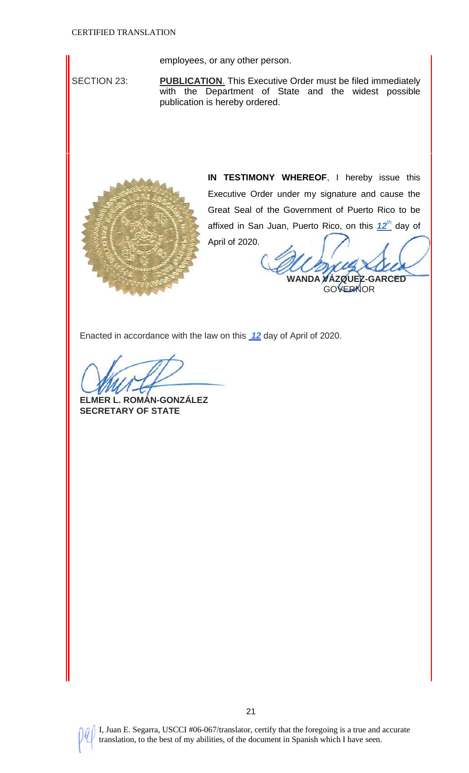employees, or any other person.

SECTION 23: **PUBLICATION**. This Executive Order must be filed immediately with the Department of State and the widest possible publication is hereby ordered.



**IN TESTIMONY WHEREOF**, I hereby issue this Executive Order under my signature and cause the Great Seal of the Government of Puerto Rico to be affixed in San Juan, Puerto Rico, on this *12th* day of April of 2020.

**WANDA VÁZQUEZ-GARCED GOVERNOR** 

Enacted in accordance with the law on this *12* day of April of 2020.

**ELMER L. ROMÁN-GONZÁLEZ SECRETARY OF STATE**